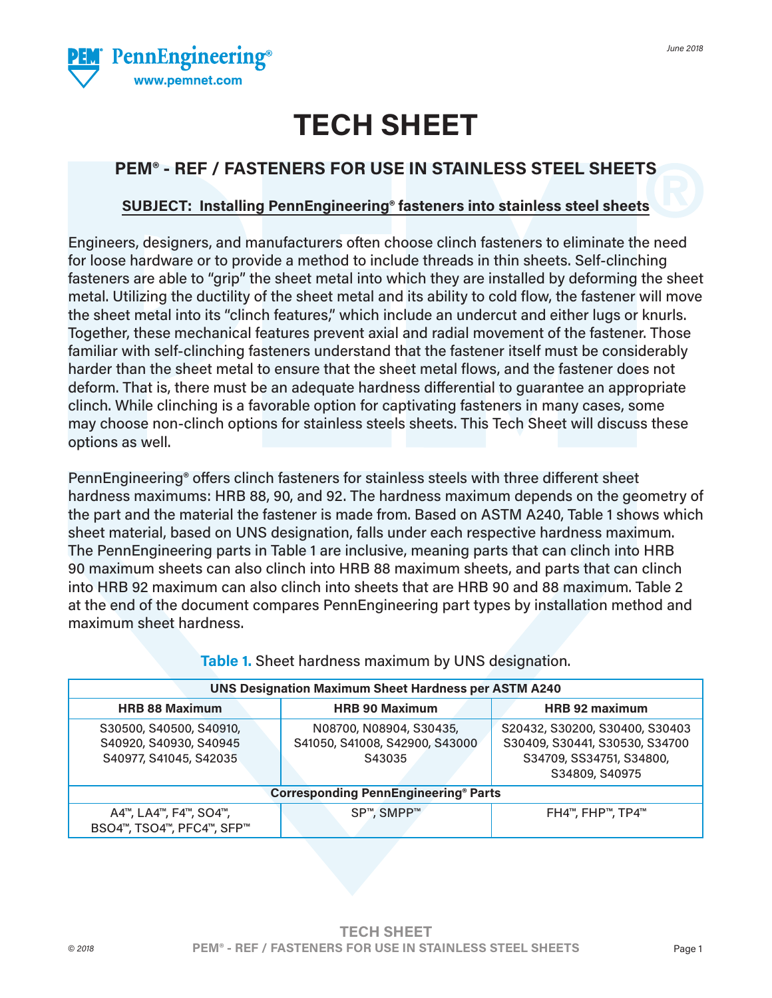

# **TECH SHEET**

# **PEM® - REF / FASTENERS FOR USE IN STAINLESS STEEL SHEETS**

## **SUBJECT: Installing PennEngineering® fasteners into stainless steel sheets**

Engineers, designers, and manufacturers often choose clinch fasteners to eliminate the need for loose hardware or to provide a method to include threads in thin sheets. Self-clinching fasteners are able to "grip" the sheet metal into which they are installed by deforming the sheet metal. Utilizing the ductility of the sheet metal and its ability to cold flow, the fastener will move the sheet metal into its "clinch features," which include an undercut and either lugs or knurls. Together, these mechanical features prevent axial and radial movement of the fastener. Those familiar with self-clinching fasteners understand that the fastener itself must be considerably harder than the sheet metal to ensure that the sheet metal flows, and the fastener does not deform. That is, there must be an adequate hardness differential to guarantee an appropriate clinch. While clinching is a favorable option for captivating fasteners in many cases, some may choose non-clinch options for stainless steels sheets. This Tech Sheet will discuss these options as well.

PennEngineering® offers clinch fasteners for stainless steels with three different sheet hardness maximums: HRB 88, 90, and 92. The hardness maximum depends on the geometry of the part and the material the fastener is made from. Based on ASTM A240, Table 1 shows which sheet material, based on UNS designation, falls under each respective hardness maximum. The PennEngineering parts in Table 1 are inclusive, meaning parts that can clinch into HRB 90 maximum sheets can also clinch into HRB 88 maximum sheets, and parts that can clinch into HRB 92 maximum can also clinch into sheets that are HRB 90 and 88 maximum. Table 2 at the end of the document compares PennEngineering part types by installation method and maximum sheet hardness.

| <b>UNS Designation Maximum Sheet Hardness per ASTM A240</b>                 |                                                                     |                                                                                                                |  |  |  |  |  |  |  |
|-----------------------------------------------------------------------------|---------------------------------------------------------------------|----------------------------------------------------------------------------------------------------------------|--|--|--|--|--|--|--|
| <b>HRB 88 Maximum</b>                                                       | <b>HRB 90 Maximum</b>                                               | HRB 92 maximum                                                                                                 |  |  |  |  |  |  |  |
| S30500, S40500, S40910,<br>S40920, S40930, S40945<br>S40977, S41045, S42035 | N08700, N08904, S30435,<br>S41050, S41008, S42900, S43000<br>S43035 | S20432, S30200, S30400, S30403<br>S30409, S30441, S30530, S34700<br>S34709, SS34751, S34800,<br>S34809, S40975 |  |  |  |  |  |  |  |
| <b>Corresponding PennEngineering® Parts</b>                                 |                                                                     |                                                                                                                |  |  |  |  |  |  |  |
| A4™, LA4™, F4™, SO4™,<br>BSO4™, TSO4™, PFC4™, SFP™                          | SP <sup>™</sup> , SMPP™                                             | FH4™, FHP™, TP4™                                                                                               |  |  |  |  |  |  |  |

**Table 1.** Sheet hardness maximum by UNS designation.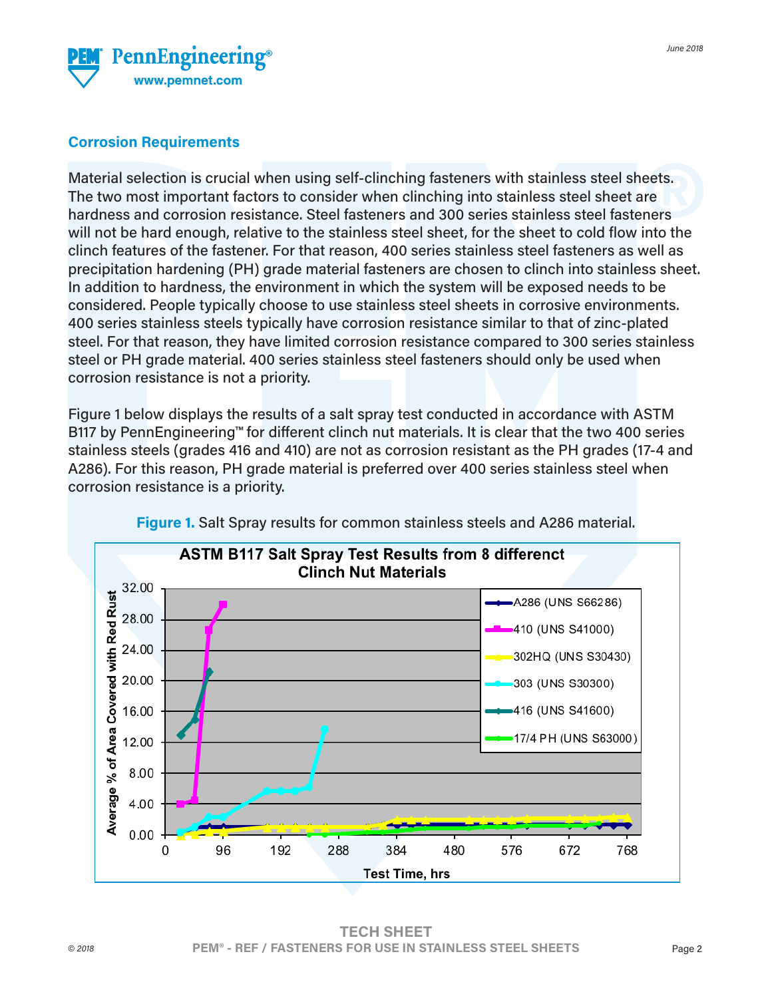

## **Corrosion Requirements**

Material selection is crucial when using self-clinching fasteners with stainless steel sheets. The two most important factors to consider when clinching into stainless steel sheet are hardness and corrosion resistance. Steel fasteners and 300 series stainless steel fasteners will not be hard enough, relative to the stainless steel sheet, for the sheet to cold flow into the clinch features of the fastener. For that reason, 400 series stainless steel fasteners as well as precipitation hardening (PH) grade material fasteners are chosen to clinch into stainless sheet. In addition to hardness, the environment in which the system will be exposed needs to be considered. People typically choose to use stainless steel sheets in corrosive environments. 400 series stainless steels typically have corrosion resistance similar to that of zinc-plated steel. For that reason, they have limited corrosion resistance compared to 300 series stainless steel or PH grade material. 400 series stainless steel fasteners should only be used when corrosion resistance is not a priority.

Figure 1 below displays the results of a salt spray test conducted in accordance with ASTM B117 by PennEngineering™ for different clinch nut materials. It is clear that the two 400 series stainless steels (grades 416 and 410) are not as corrosion resistant as the PH grades (17-4 and A286). For this reason, PH grade material is preferred over 400 series stainless steel when corrosion resistance is a priority.



**Figure 1.** Salt Spray results for common stainless steels and A286 material.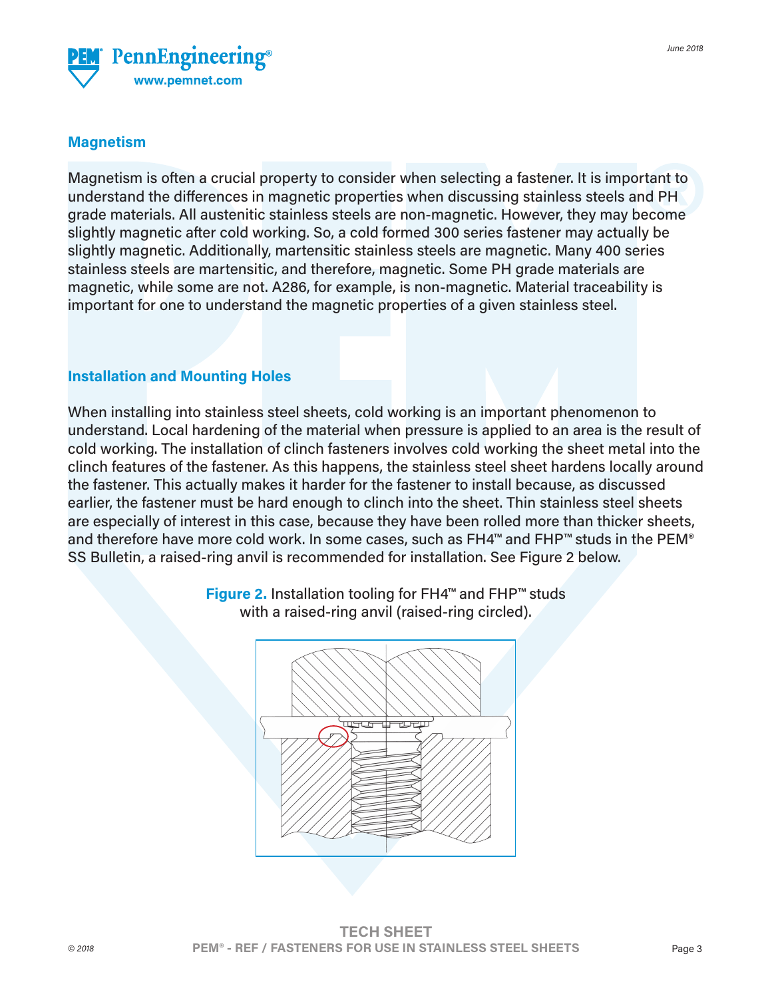

### **Magnetism**

Magnetism is often a crucial property to consider when selecting a fastener. It is important to understand the differences in magnetic properties when discussing stainless steels and PH grade materials. All austenitic stainless steels are non-magnetic. However, they may become slightly magnetic after cold working. So, a cold formed 300 series fastener may actually be slightly magnetic. Additionally, martensitic stainless steels are magnetic. Many 400 series stainless steels are martensitic, and therefore, magnetic. Some PH grade materials are magnetic, while some are not. A286, for example, is non-magnetic. Material traceability is important for one to understand the magnetic properties of a given stainless steel.

#### **Installation and Mounting Holes**

When installing into stainless steel sheets, cold working is an important phenomenon to understand. Local hardening of the material when pressure is applied to an area is the result of cold working. The installation of clinch fasteners involves cold working the sheet metal into the clinch features of the fastener. As this happens, the stainless steel sheet hardens locally around the fastener. This actually makes it harder for the fastener to install because, as discussed earlier, the fastener must be hard enough to clinch into the sheet. Thin stainless steel sheets are especially of interest in this case, because they have been rolled more than thicker sheets, and therefore have more cold work. In some cases, such as FH4™ and FHP™ studs in the PEM® SS Bulletin, a raised-ring anvil is recommended for installation. See Figure 2 below.



**Figure 2.** Installation tooling for FH4™ and FHP™ studs with a raised-ring anvil (raised-ring circled).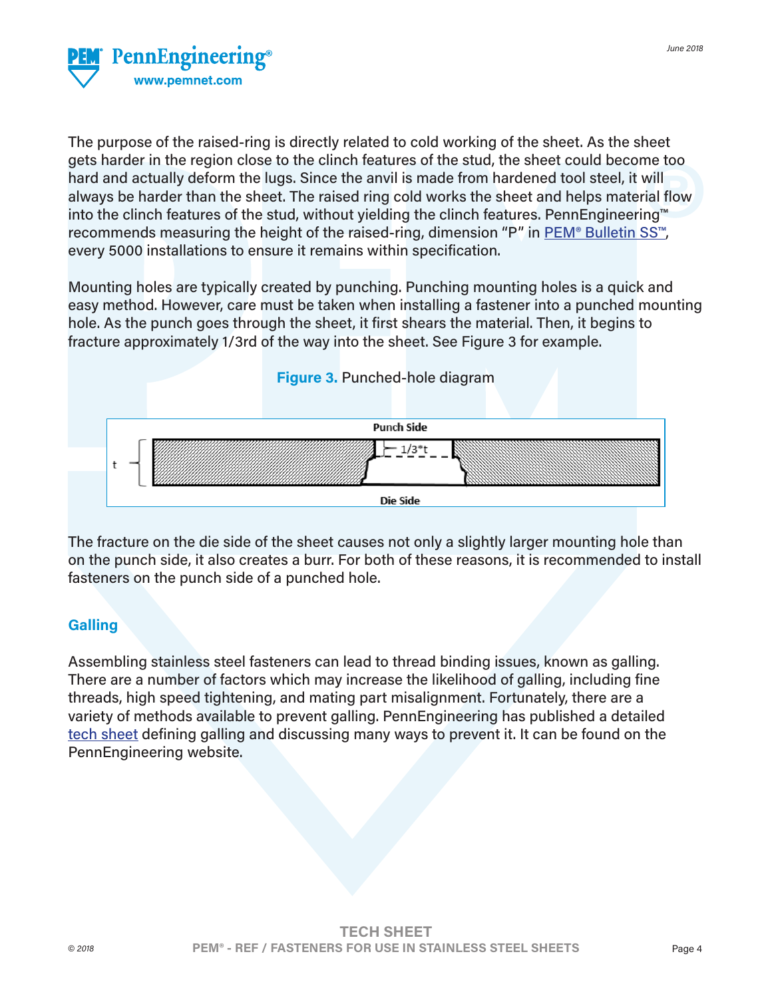

The purpose of the raised-ring is directly related to cold working of the sheet. As the sheet gets harder in the region close to the clinch features of the stud, the sheet could become too hard and actually deform the lugs. Since the anvil is made from hardened tool steel, it will always be harder than the sheet. The raised ring cold works the sheet and helps material flow into the clinch features of the stud, without yielding the clinch features. PennEngineering™ recommends measuring the height of the raised-ring, dimension "P" in [PEM® Bulletin SS™](https://www.pemnet.com/fastening_products/pdf/ssdata.pdf), every 5000 installations to ensure it remains within specification.

Mounting holes are typically created by punching. Punching mounting holes is a quick and easy method. However, care must be taken when installing a fastener into a punched mounting hole. As the punch goes through the sheet, it first shears the material. Then, it begins to fracture approximately 1/3rd of the way into the sheet. See Figure 3 for example.



The fracture on the die side of the sheet causes not only a slightly larger mounting hole than on the punch side, it also creates a burr. For both of these reasons, it is recommended to install fasteners on the punch side of a punched hole.

#### **Galling**

Assembling stainless steel fasteners can lead to thread binding issues, known as galling. There are a number of factors which may increase the likelihood of galling, including fine threads, high speed tightening, and mating part misalignment. Fortunately, there are a variety of methods available to prevent galling. PennEngineering has published a detailed [tech sheet](https://www.pemnet.com/files/design_info/techsheets/Thread_Galling.pdf) defining galling and discussing many ways to prevent it. It can be found on the PennEngineering website.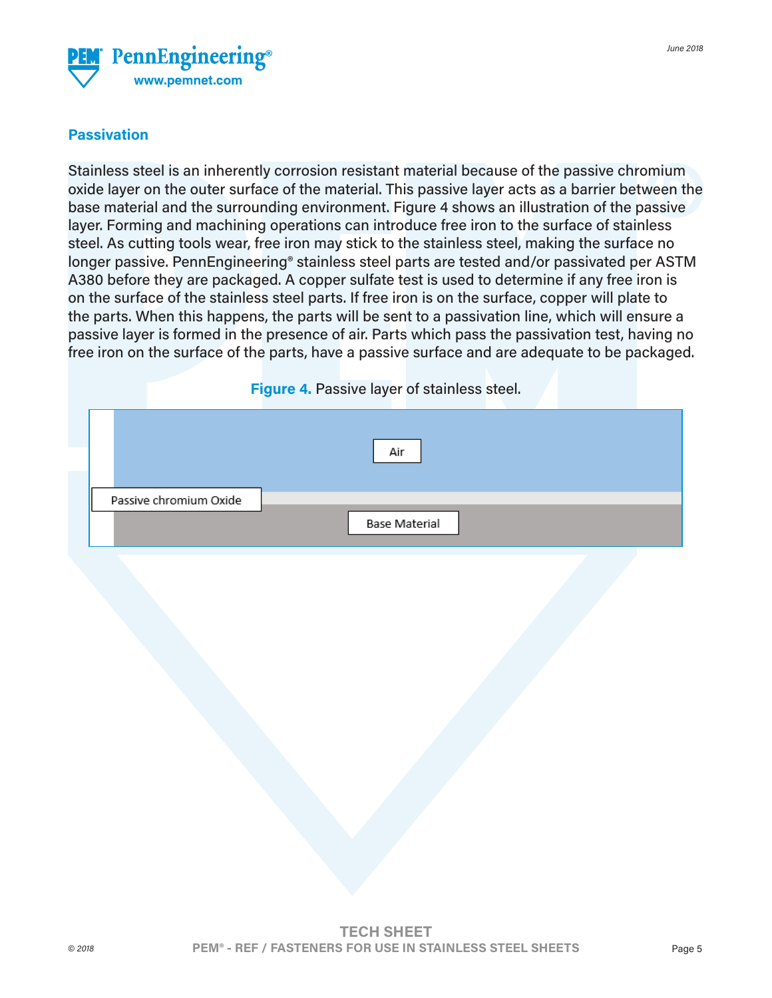

## **Passivation**

Stainless steel is an inherently corrosion resistant material because of the passive chromium oxide layer on the outer surface of the material. This passive layer acts as a barrier between the base material and the surrounding environment. Figure 4 shows an illustration of the passive layer. Forming and machining operations can introduce free iron to the surface of stainless steel. As cutting tools wear, free iron may stick to the stainless steel, making the surface no longer passive. PennEngineering® stainless steel parts are tested and/or passivated per ASTM A380 before they are packaged. A copper sulfate test is used to determine if any free iron is on the surface of the stainless steel parts. If free iron is on the surface, copper will plate to the parts. When this happens, the parts will be sent to a passivation line, which will ensure a passive layer is formed in the presence of air. Parts which pass the passivation test, having no free iron on the surface of the parts, have a passive surface and are adequate to be packaged.

|                        | Figure 4. Passive layer of stainless steel. |  |
|------------------------|---------------------------------------------|--|
|                        | Air                                         |  |
| Passive chromium Oxide | Base Material                               |  |
|                        |                                             |  |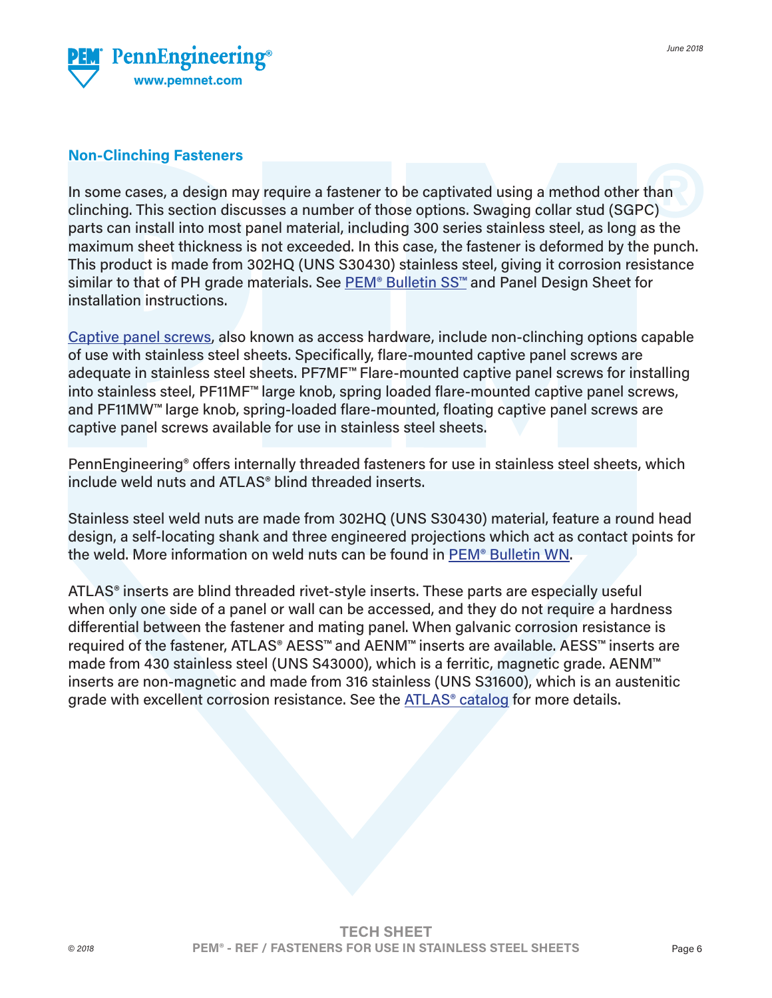

#### **Non-Clinching Fasteners**

In some cases, a design may require a fastener to be captivated using a method other than clinching. This section discusses a number of those options. Swaging collar stud (SGPC) parts can install into most panel material, including 300 series stainless steel, as long as the maximum sheet thickness is not exceeded. In this case, the fastener is deformed by the punch. This product is made from 302HQ (UNS S30430) stainless steel, giving it corrosion resistance similar to that of PH grade materials. See PEM<sup>®</sup> Bulletin SS<sup>™</sup> and Panel Design Sheet for installation instructions.

[Captive panel screws,](https://www.pemnet.com/fastening_products/pdf/pfdata.pdf) also known as access hardware, include non-clinching options capable of use with stainless steel sheets. Specifically, flare-mounted captive panel screws are adequate in stainless steel sheets. PF7MF™ Flare-mounted captive panel screws for installing into stainless steel, PF11MF™ large knob, spring loaded flare-mounted captive panel screws, and PF11MW™ large knob, spring-loaded flare-mounted, floating captive panel screws are captive panel screws available for use in stainless steel sheets.

PennEngineering® offers internally threaded fasteners for use in stainless steel sheets, which include weld nuts and ATLAS® blind threaded inserts.

Stainless steel weld nuts are made from 302HQ (UNS S30430) material, feature a round head design, a self-locating shank and three engineered projections which act as contact points for the weld. More information on weld nuts can be found in [PEM® Bulletin WN.](https://www.pemnet.com/fastening_products/pdf/wndata.pdf?v=717)

ATLAS® inserts are blind threaded rivet-style inserts. These parts are especially useful when only one side of a panel or wall can be accessed, and they do not require a hardness differential between the fastener and mating panel. When galvanic corrosion resistance is required of the fastener, ATLAS® AESS™ and AENM™ inserts are available. AESS™ inserts are made from 430 stainless steel (UNS S43000), which is a ferritic, magnetic grade. AENM™ inserts are non-magnetic and made from 316 stainless (UNS S31600), which is an austenitic grade with excellent corrosion resistance. See the **ATLAS<sup>®</sup> catalog** for more details.